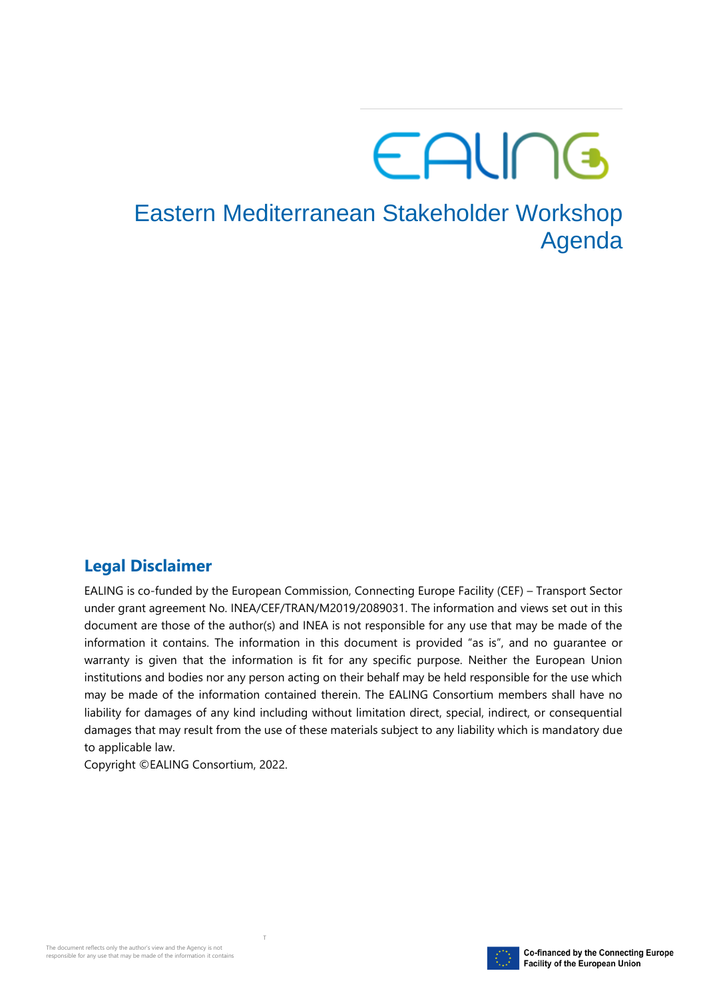# EALING

### Eastern Mediterranean Stakeholder Workshop Agenda

#### **Legal Disclaimer**

EALING is co-funded by the European Commission, Connecting Europe Facility (CEF) – Transport Sector under grant agreement No. INEA/CEF/TRAN/M2019/2089031. The information and views set out in this document are those of the author(s) and INEA is not responsible for any use that may be made of the information it contains. The information in this document is provided "as is", and no guarantee or warranty is given that the information is fit for any specific purpose. Neither the European Union institutions and bodies nor any person acting on their behalf may be held responsible for the use which may be made of the information contained therein. The EALING Consortium members shall have no liability for damages of any kind including without limitation direct, special, indirect, or consequential damages that may result from the use of these materials subject to any liability which is mandatory due to applicable law.

Copyright ©EALING Consortium, 2022.

T

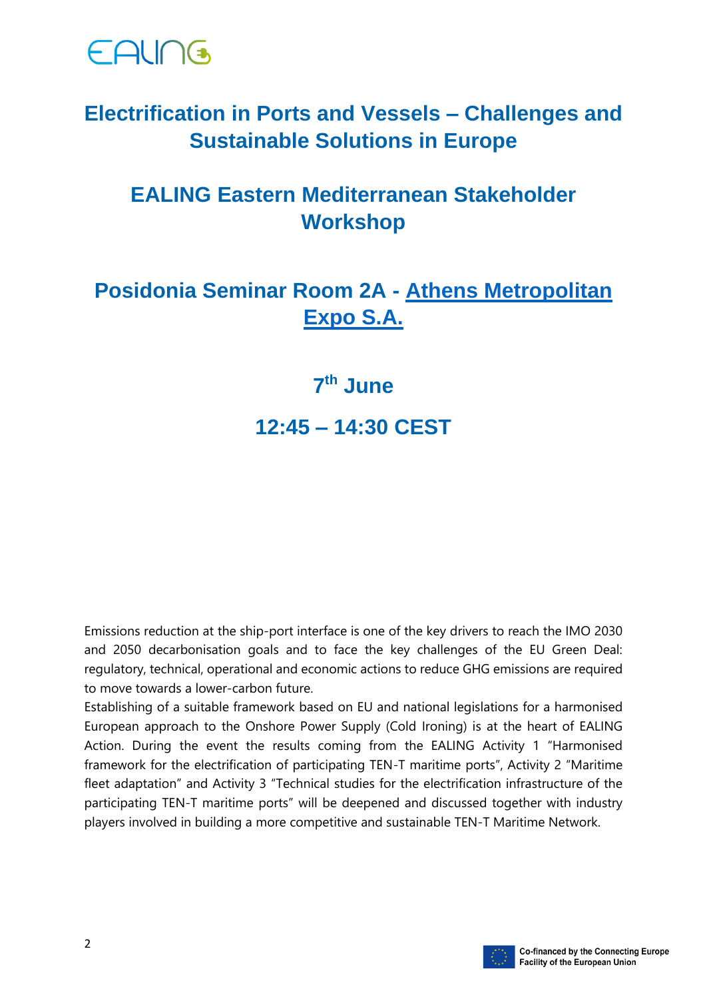

#### **Electrification in Ports and Vessels – Challenges and Sustainable Solutions in Europe**

#### **EALING Eastern Mediterranean Stakeholder Workshop**

#### **Posidonia Seminar Room 2A - [Athens Metropolitan](https://posidonia-events.com/pages/access-to-metropolitan-expo/)  [Expo S.A.](https://posidonia-events.com/pages/access-to-metropolitan-expo/)**

## **7 th June**

**12:45 – 14:30 CEST**

Emissions reduction at the ship-port interface is one of the key drivers to reach the IMO 2030 and 2050 decarbonisation goals and to face the key challenges of the EU Green Deal: regulatory, technical, operational and economic actions to reduce GHG emissions are required to move towards a lower-carbon future.

Establishing of a suitable framework based on EU and national legislations for a harmonised European approach to the Onshore Power Supply (Cold Ironing) is at the heart of EALING Action. During the event the results coming from the EALING Activity 1 "Harmonised framework for the electrification of participating TEN-T maritime ports", Activity 2 "Maritime fleet adaptation" and Activity 3 "Technical studies for the electrification infrastructure of the participating TEN-T maritime ports" will be deepened and discussed together with industry players involved in building a more competitive and sustainable TEN-T Maritime Network.